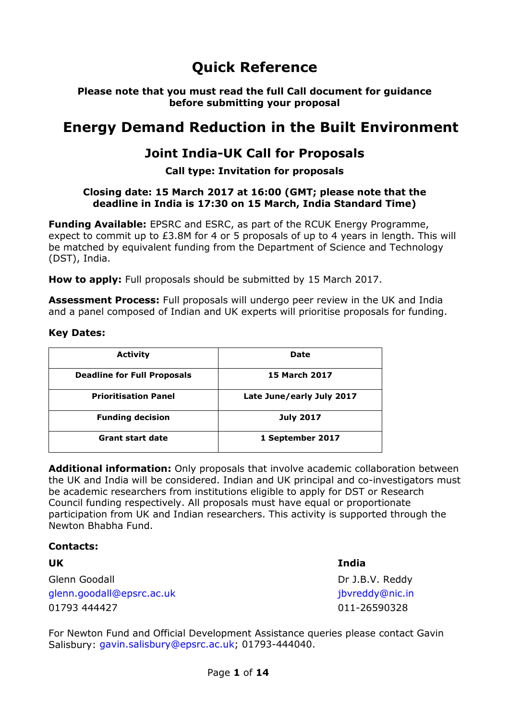# **Quick Reference**

**Please note that you must read the full Call document for guidance before submitting your proposal**

# **Energy Demand Reduction in the Built Environment**

## **Joint India-UK Call for Proposals**

#### **Call type: Invitation for proposals**

#### **Closing date: 15 March 2017 at 16:00 (GMT; please note that the deadline in India is 17:30 on 15 March, India Standard Time)**

**Funding Available:** EPSRC and ESRC, as part of the RCUK Energy Programme, expect to commit up to £3.8M for 4 or 5 proposals of up to 4 years in length. This will be matched by equivalent funding from the Department of Science and Technology (DST), India.

**How to apply:** Full proposals should be submitted by 15 March 2017.

**Assessment Process:** Full proposals will undergo peer review in the UK and India and a panel composed of Indian and UK experts will prioritise proposals for funding.

#### **Key Dates:**

| <b>Activity</b>                    | Date                      |
|------------------------------------|---------------------------|
| <b>Deadline for Full Proposals</b> | <b>15 March 2017</b>      |
| <b>Prioritisation Panel</b>        | Late June/early July 2017 |
| <b>Funding decision</b>            | <b>July 2017</b>          |
| <b>Grant start date</b>            | 1 September 2017          |

**Additional information:** Only proposals that involve academic collaboration between the UK and India will be considered. Indian and UK principal and co-investigators must be academic researchers from institutions eligible to apply for DST or Research Council funding respectively. All proposals must have equal or proportionate participation from UK and Indian researchers. This activity is supported through the Newton Bhabha Fund.

#### **Contacts:**

| UK                        | India           |
|---------------------------|-----------------|
| Glenn Goodall             | Dr J.B.V. Reddy |
| glenn.goodall@epsrc.ac.uk | jbyreddy@nic.in |
| 01793 444427              | 011-26590328    |

For Newton Fund and Official Development Assistance queries please contact Gavin Salisbury: gavin.salisbury@epsrc.ac.uk; 01793-444040.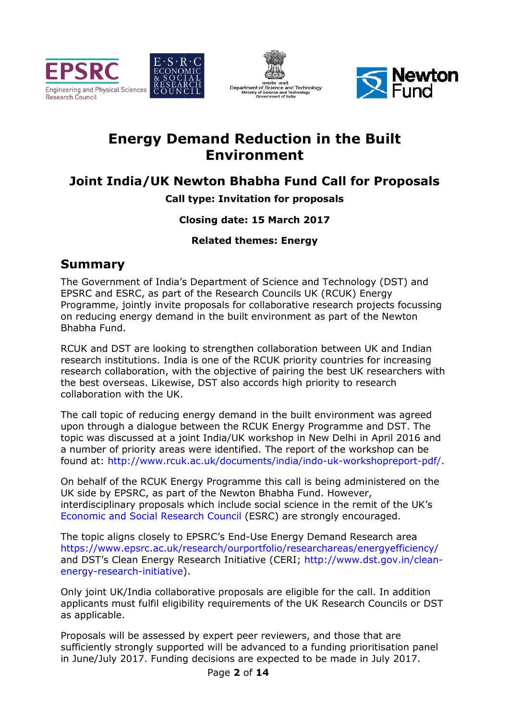





# **Energy Demand Reduction in the Built Environment**

## **Joint India/UK Newton Newton Bhabha Fund Call for Proposals**

## **Call type: Invitation for proposals**

## **Closing date: 15 March 2017**

### **Related themes: Energy**

## **Summary**

The Government of India's Department of Science and Technology (DST) and EPSRC and ESRC, as part of the Research Councils UK (RCUK) Energy Programme, jointly invite proposals for collaborative research projects focussing on reducing energy demand in the built environment as part of the Newton Bhabha Fund.

RCUK and DST are looking to strengthen collaboration between UK and Indian research institutions. India is one of the RCUK priority countries for increasing research collaboration, with the objective of pairing the best UK researchers with the best overseas. Likewise, DST also accords high priority to research collaboration with the UK. then collaboration between UK and Indian<br>the RCUK priority countries for increasing<br>ective of pairing the best UK researchers with<br>so accords high priority to research<br>mand in the built environment was agreed<br>ne RCUK Energ

The call topic of reducing energy demand in the built environment was agreed upon through a dialogue between the RCUK Energy Programme and DST. The topic was discussed at a joint India/UK workshop in New Delhi in April 2 a number of priority areas were identified. The report of the workshop can be a number of priority areas were identified. The report of the workshop can be<br>found at: http://www.rcuk.ac.uk/documents/india/indo-uk-workshopreport-pdf/.

On behalf of the RCUK Energy Programme this call is being administered on the UK side by EPSRC, as part of the Newton Bhabha Fund. However, UK side by EPSRC, as part of the Newton Bhabha Fund. However,<br>interdisciplinary proposals which include social science in the remit of the UK's Economic and Social Research Council (ESRC) are strongly encouraged.

The topic aligns closely to EPSRC's End-Use Energy Demand Research area https://www.epsrc.ac.uk/research/ourportfolio/researchareas/energyefficiency/ The topic aligns closely to EPSRC's End-Use Energy Demand Research area<br>https://www.epsrc.ac.uk/research/ourportfolio/researchareas/energyefficiency/<br>and DST's Clean Energy Research Initiative (CERI; http://www.dst.gov.in/ energy-research-initiative) ).

Only joint UK/India collaborative proposals are eligible for the call. In addition applicants must fulfil eligibility requirements of the UK Research Councils or DST as applicable.

Proposals will be assessed by expert peer reviewers, and those that are sufficiently strongly supported will be advanced to a funding prioritisation panel in June/July 2017. Funding decisions are expected to be made in July 2017.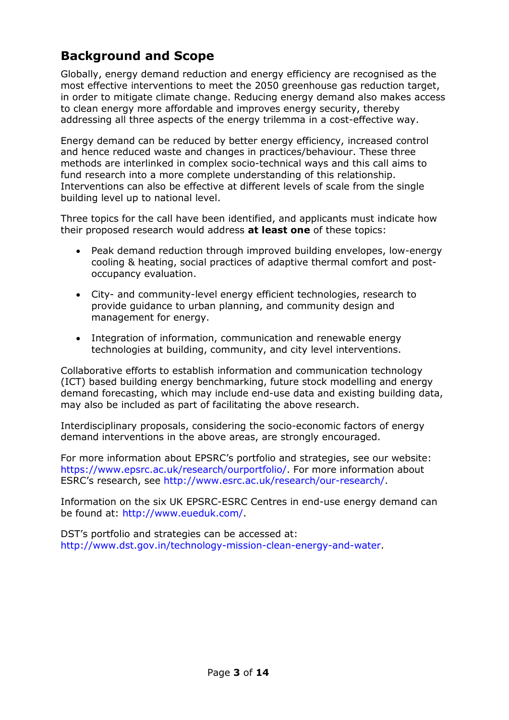## **Background and Scope**

Globally, energy demand reduction and energy efficiency are recognised as the most effective interventions to meet the 2050 greenhouse gas reduction target, in order to mitigate climate change. Reducing energy demand also makes access to clean energy more affordable and improves energy security, thereby addressing all three aspects of the energy trilemma in a cost-effective way.

Energy demand can be reduced by better energy efficiency, increased control and hence reduced waste and changes in practices/behaviour. These three methods are interlinked in complex socio-technical ways and this call aims to fund research into a more complete understanding of this relationship. Interventions can also be effective at different levels of scale from the single building level up to national level.

Three topics for the call have been identified, and applicants must indicate how their proposed research would address **at least one** of these topics:

- Peak demand reduction through improved building envelopes, low-energy cooling & heating, social practices of adaptive thermal comfort and postoccupancy evaluation.
- City- and community-level energy efficient technologies, research to provide guidance to urban planning, and community design and management for energy.
- Integration of information, communication and renewable energy technologies at building, community, and city level interventions.

Collaborative efforts to establish information and communication technology (ICT) based building energy benchmarking, future stock modelling and energy demand forecasting, which may include end-use data and existing building data, may also be included as part of facilitating the above research.

Interdisciplinary proposals, considering the socio-economic factors of energy demand interventions in the above areas, are strongly encouraged.

For more information about EPSRC's portfolio and strategies, see our website: https://www.epsrc.ac.uk/research/ourportfolio/. For more information about ESRC's research, see http://www.esrc.ac.uk/research/our-research/.

Information on the six UK EPSRC-ESRC Centres in end-use energy demand can be found at: http://www.eueduk.com/.

DST's portfolio and strategies can be accessed at: http://www.dst.gov.in/technology-mission-clean-energy-and-water.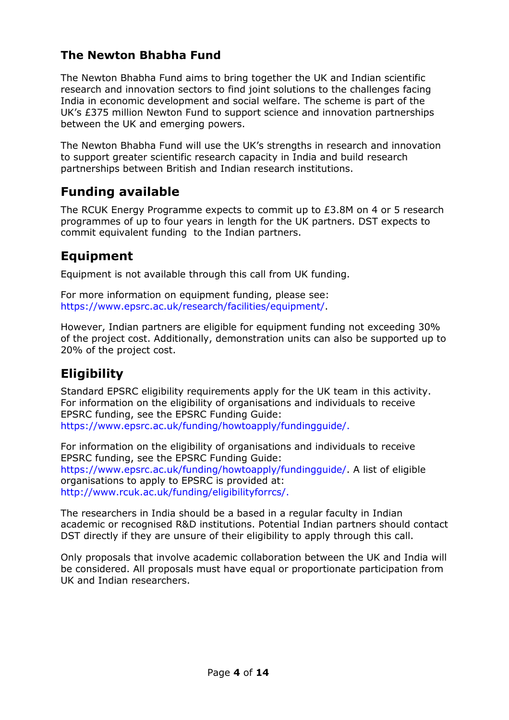## **The Newton Bhabha Fund**

The Newton Bhabha Fund aims to bring together the UK and Indian scientific research and innovation sectors to find joint solutions to the challenges facing India in economic development and social welfare. The scheme is part of the UK's £375 million Newton Fund to support science and innovation partnerships between the UK and emerging powers.

The Newton Bhabha Fund will use the UK's strengths in research and innovation to support greater scientific research capacity in India and build research partnerships between British and Indian research institutions.

## **Funding available**

The RCUK Energy Programme expects to commit up to £3.8M on 4 or 5 research programmes of up to four years in length for the UK partners. DST expects to commit equivalent funding to the Indian partners.

## **Equipment**

Equipment is not available through this call from UK funding.

For more information on equipment funding, please see: https://www.epsrc.ac.uk/research/facilities/equipment/.

However, Indian partners are eligible for equipment funding not exceeding 30% of the project cost. Additionally, demonstration units can also be supported up to 20% of the project cost.

# **Eligibility**

Standard EPSRC eligibility requirements apply for the UK team in this activity. For information on the eligibility of organisations and individuals to receive EPSRC funding, see the EPSRC Funding Guide: https://www.epsrc.ac.uk/funding/howtoapply/fundingguide/.

For information on the eligibility of organisations and individuals to receive EPSRC funding, see the EPSRC Funding Guide: https://www.epsrc.ac.uk/funding/howtoapply/fundingguide/. A list of eligible organisations to apply to EPSRC is provided at: http://www.rcuk.ac.uk/funding/eligibilityforrcs/.

The researchers in India should be a based in a regular faculty in Indian academic or recognised R&D institutions. Potential Indian partners should contact DST directly if they are unsure of their eligibility to apply through this call.

Only proposals that involve academic collaboration between the UK and India will be considered. All proposals must have equal or proportionate participation from UK and Indian researchers.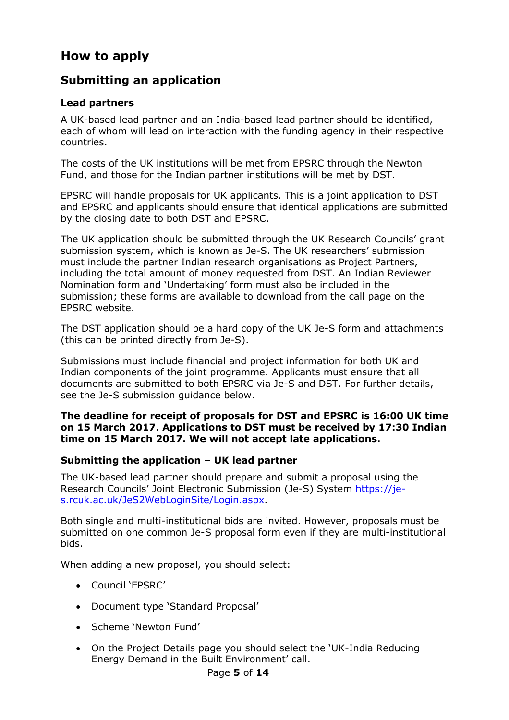## **How to apply**

## **Submitting an application**

#### **Lead partners**

A UK-based lead partner and an India-based lead partner should be identified, each of whom will lead on interaction with the funding agency in their respective countries.

The costs of the UK institutions will be met from EPSRC through the Newton Fund, and those for the Indian partner institutions will be met by DST.

EPSRC will handle proposals for UK applicants. This is a joint application to DST and EPSRC and applicants should ensure that identical applications are submitted by the closing date to both DST and EPSRC.

The UK application should be submitted through the UK Research Councils' grant submission system, which is known as Je-S. The UK researchers' submission must include the partner Indian research organisations as Project Partners, including the total amount of money requested from DST. An Indian Reviewer Nomination form and 'Undertaking' form must also be included in the submission; these forms are available to download from the call page on the EPSRC website.

The DST application should be a hard copy of the UK Je-S form and attachments (this can be printed directly from Je-S).

Submissions must include financial and project information for both UK and Indian components of the joint programme. Applicants must ensure that all documents are submitted to both EPSRC via Je-S and DST. For further details, see the Je-S submission guidance below.

#### **The deadline for receipt of proposals for DST and EPSRC is 16:00 UK time on 15 March 2017. Applications to DST must be received by 17:30 Indian time on 15 March 2017. We will not accept late applications.**

#### **Submitting the application – UK lead partner**

The UK-based lead partner should prepare and submit a proposal using the Research Councils' Joint Electronic Submission (Je-S) System https://jes.rcuk.ac.uk/JeS2WebLoginSite/Login.aspx.

Both single and multi-institutional bids are invited. However, proposals must be submitted on one common Je-S proposal form even if they are multi-institutional bids.

When adding a new proposal, you should select:

- Council 'EPSRC'
- Document type 'Standard Proposal'
- Scheme 'Newton Fund'
- On the Project Details page you should select the 'UK-India Reducing Energy Demand in the Built Environment' call.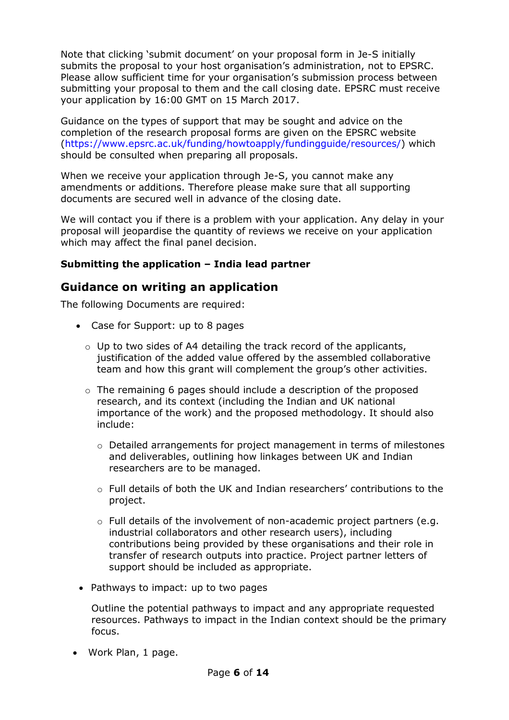Note that clicking 'submit document' on your proposal form in Je-S initially submits the proposal to your host organisation's administration, not to EPSRC. Please allow sufficient time for your organisation's submission process between submitting your proposal to them and the call closing date. EPSRC must receive your application by 16:00 GMT on 15 March 2017.

Guidance on the types of support that may be sought and advice on the completion of the research proposal forms are given on the EPSRC website (https://www.epsrc.ac.uk/funding/howtoapply/fundingguide/resources/) which should be consulted when preparing all proposals.

When we receive your application through Je-S, you cannot make any amendments or additions. Therefore please make sure that all supporting documents are secured well in advance of the closing date.

We will contact you if there is a problem with your application. Any delay in your proposal will jeopardise the quantity of reviews we receive on your application which may affect the final panel decision.

### **Submitting the application – India lead partner**

## **Guidance on writing an application**

The following Documents are required:

- Case for Support: up to 8 pages
	- $\circ$  Up to two sides of A4 detailing the track record of the applicants, justification of the added value offered by the assembled collaborative team and how this grant will complement the group's other activities.
	- $\circ$  The remaining 6 pages should include a description of the proposed research, and its context (including the Indian and UK national importance of the work) and the proposed methodology. It should also include:
		- o Detailed arrangements for project management in terms of milestones and deliverables, outlining how linkages between UK and Indian researchers are to be managed.
		- o Full details of both the UK and Indian researchers' contributions to the project.
		- $\circ$  Full details of the involvement of non-academic project partners (e.g. industrial collaborators and other research users), including contributions being provided by these organisations and their role in transfer of research outputs into practice. Project partner letters of support should be included as appropriate.
- Pathways to impact: up to two pages

Outline the potential pathways to impact and any appropriate requested resources. Pathways to impact in the Indian context should be the primary focus.

• Work Plan, 1 page.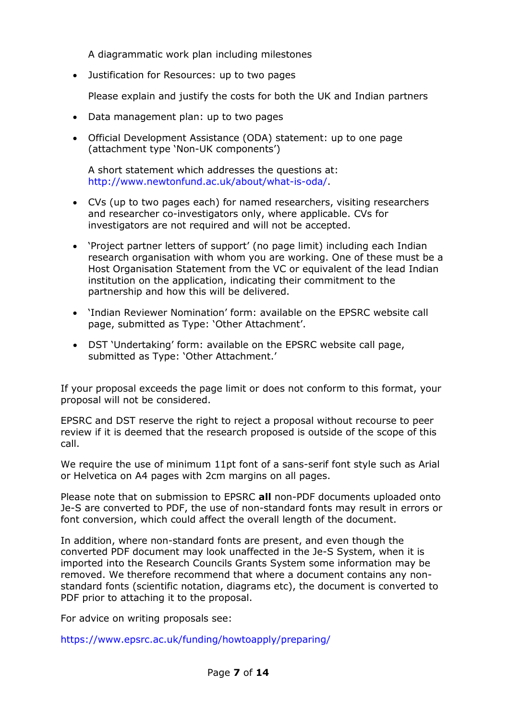A diagrammatic work plan including milestones

• Justification for Resources: up to two pages

Please explain and justify the costs for both the UK and Indian partners

- Data management plan: up to two pages
- Official Development Assistance (ODA) statement: up to one page (attachment type 'Non-UK components')

A short statement which addresses the questions at: http://www.newtonfund.ac.uk/about/what-is-oda/.

- CVs (up to two pages each) for named researchers, visiting researchers and researcher co-investigators only, where applicable. CVs for investigators are not required and will not be accepted.
- 'Project partner letters of support' (no page limit) including each Indian research organisation with whom you are working. One of these must be a Host Organisation Statement from the VC or equivalent of the lead Indian institution on the application, indicating their commitment to the partnership and how this will be delivered.
- 'Indian Reviewer Nomination' form: available on the EPSRC website call page, submitted as Type: 'Other Attachment'.
- DST 'Undertaking' form: available on the EPSRC website call page, submitted as Type: 'Other Attachment.'

If your proposal exceeds the page limit or does not conform to this format, your proposal will not be considered.

EPSRC and DST reserve the right to reject a proposal without recourse to peer review if it is deemed that the research proposed is outside of the scope of this call.

We require the use of minimum 11pt font of a sans-serif font style such as Arial or Helvetica on A4 pages with 2cm margins on all pages.

Please note that on submission to EPSRC **all** non-PDF documents uploaded onto Je-S are converted to PDF, the use of non-standard fonts may result in errors or font conversion, which could affect the overall length of the document.

In addition, where non-standard fonts are present, and even though the converted PDF document may look unaffected in the Je-S System, when it is imported into the Research Councils Grants System some information may be removed. We therefore recommend that where a document contains any nonstandard fonts (scientific notation, diagrams etc), the document is converted to PDF prior to attaching it to the proposal.

For advice on writing proposals see:

https://www.epsrc.ac.uk/funding/howtoapply/preparing/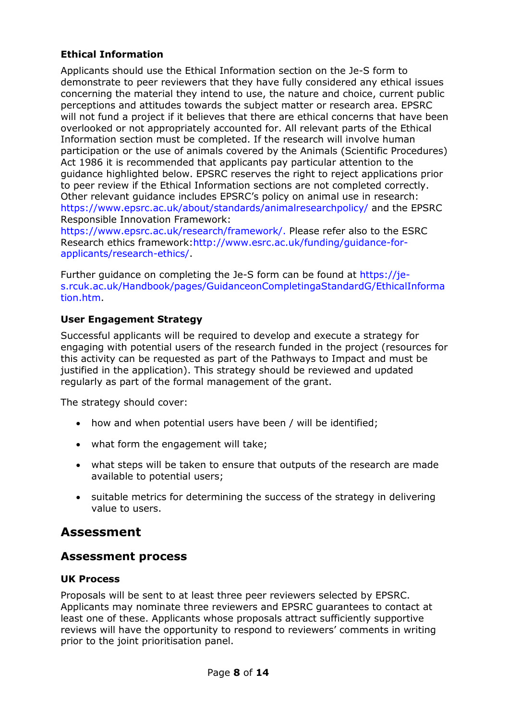### **Ethical Information**

Applicants should use the Ethical Information section on the Je-S form to demonstrate to peer reviewers that they have fully considered any ethical issues concerning the material they intend to use, the nature and choice, current public perceptions and attitudes towards the subject matter or research area. EPSRC will not fund a project if it believes that there are ethical concerns that have been overlooked or not appropriately accounted for. All relevant parts of the Ethical Information section must be completed. If the research will involve human participation or the use of animals covered by the Animals (Scientific Procedures) Act 1986 it is recommended that applicants pay particular attention to the guidance highlighted below. EPSRC reserves the right to reject applications prior to peer review if the Ethical Information sections are not completed correctly. Other relevant guidance includes EPSRC's policy on animal use in research: https://www.epsrc.ac.uk/about/standards/animalresearchpolicy/ and the EPSRC Responsible Innovation Framework:

https://www.epsrc.ac.uk/research/framework/. Please refer also to the ESRC Research ethics framework:http://www.esrc.ac.uk/funding/guidance-forapplicants/research-ethics/.

Further guidance on completing the Je-S form can be found at https://jes.rcuk.ac.uk/Handbook/pages/GuidanceonCompletingaStandardG/EthicalInforma tion.htm.

### **User Engagement Strategy**

Successful applicants will be required to develop and execute a strategy for engaging with potential users of the research funded in the project (resources for this activity can be requested as part of the Pathways to Impact and must be justified in the application). This strategy should be reviewed and updated regularly as part of the formal management of the grant.

The strategy should cover:

- how and when potential users have been / will be identified;
- what form the engagement will take;
- what steps will be taken to ensure that outputs of the research are made available to potential users;
- suitable metrics for determining the success of the strategy in delivering value to users.

## **Assessment**

### **Assessment process**

#### **UK Process**

Proposals will be sent to at least three peer reviewers selected by EPSRC. Applicants may nominate three reviewers and EPSRC guarantees to contact at least one of these. Applicants whose proposals attract sufficiently supportive reviews will have the opportunity to respond to reviewers' comments in writing prior to the joint prioritisation panel.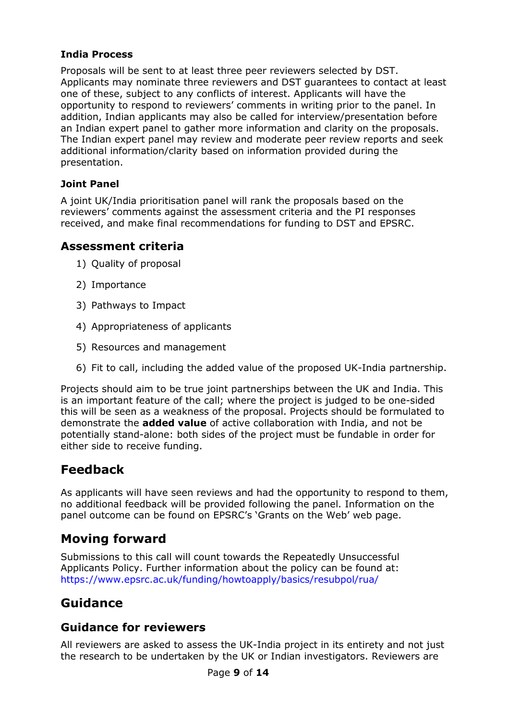#### **India Process**

Proposals will be sent to at least three peer reviewers selected by DST. Applicants may nominate three reviewers and DST guarantees to contact at least one of these, subject to any conflicts of interest. Applicants will have the opportunity to respond to reviewers' comments in writing prior to the panel. In addition, Indian applicants may also be called for interview/presentation before an Indian expert panel to gather more information and clarity on the proposals. The Indian expert panel may review and moderate peer review reports and seek additional information/clarity based on information provided during the presentation.

### **Joint Panel**

A joint UK/India prioritisation panel will rank the proposals based on the reviewers' comments against the assessment criteria and the PI responses received, and make final recommendations for funding to DST and EPSRC.

### **Assessment criteria**

- 1) Quality of proposal
- 2) Importance
- 3) Pathways to Impact
- 4) Appropriateness of applicants
- 5) Resources and management
- 6) Fit to call, including the added value of the proposed UK-India partnership.

Projects should aim to be true joint partnerships between the UK and India. This is an important feature of the call; where the project is judged to be one-sided this will be seen as a weakness of the proposal. Projects should be formulated to demonstrate the **added value** of active collaboration with India, and not be potentially stand-alone: both sides of the project must be fundable in order for either side to receive funding.

## **Feedback**

As applicants will have seen reviews and had the opportunity to respond to them, no additional feedback will be provided following the panel. Information on the panel outcome can be found on EPSRC's 'Grants on the Web' web page.

## **Moving forward**

Submissions to this call will count towards the Repeatedly Unsuccessful Applicants Policy. Further information about the policy can be found at: https://www.epsrc.ac.uk/funding/howtoapply/basics/resubpol/rua/

## **Guidance**

## **Guidance for reviewers**

All reviewers are asked to assess the UK-India project in its entirety and not just the research to be undertaken by the UK or Indian investigators. Reviewers are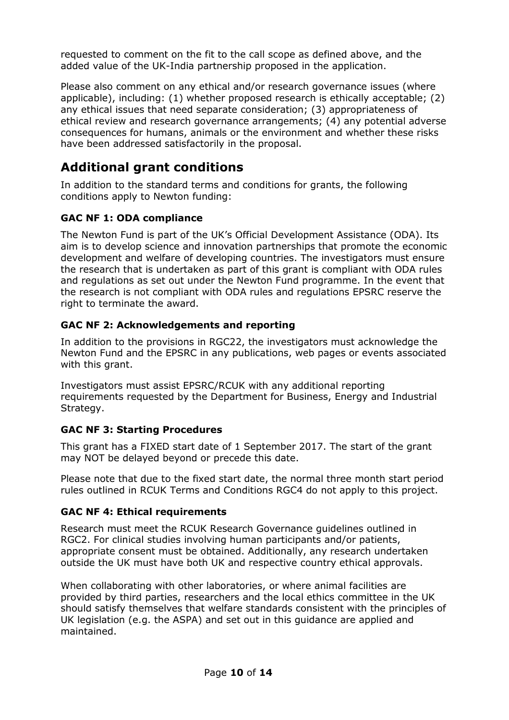requested to comment on the fit to the call scope as defined above, and the added value of the UK-India partnership proposed in the application.

Please also comment on any ethical and/or research governance issues (where applicable), including: (1) whether proposed research is ethically acceptable; (2) any ethical issues that need separate consideration; (3) appropriateness of ethical review and research governance arrangements; (4) any potential adverse consequences for humans, animals or the environment and whether these risks have been addressed satisfactorily in the proposal.

## **Additional grant conditions**

In addition to the standard terms and conditions for grants, the following conditions apply to Newton funding:

### **GAC NF 1: ODA compliance**

The Newton Fund is part of the UK's Official Development Assistance (ODA). Its aim is to develop science and innovation partnerships that promote the economic development and welfare of developing countries. The investigators must ensure the research that is undertaken as part of this grant is compliant with ODA rules and regulations as set out under the Newton Fund programme. In the event that the research is not compliant with ODA rules and regulations EPSRC reserve the right to terminate the award.

### **GAC NF 2: Acknowledgements and reporting**

In addition to the provisions in RGC22, the investigators must acknowledge the Newton Fund and the EPSRC in any publications, web pages or events associated with this grant.

Investigators must assist EPSRC/RCUK with any additional reporting requirements requested by the Department for Business, Energy and Industrial Strategy.

### **GAC NF 3: Starting Procedures**

This grant has a FIXED start date of 1 September 2017. The start of the grant may NOT be delayed beyond or precede this date.

Please note that due to the fixed start date, the normal three month start period rules outlined in RCUK Terms and Conditions RGC4 do not apply to this project.

### **GAC NF 4: Ethical requirements**

Research must meet the RCUK Research Governance guidelines outlined in RGC2. For clinical studies involving human participants and/or patients, appropriate consent must be obtained. Additionally, any research undertaken outside the UK must have both UK and respective country ethical approvals.

When collaborating with other laboratories, or where animal facilities are provided by third parties, researchers and the local ethics committee in the UK should satisfy themselves that welfare standards consistent with the principles of UK legislation (e.g. the ASPA) and set out in this guidance are applied and maintained.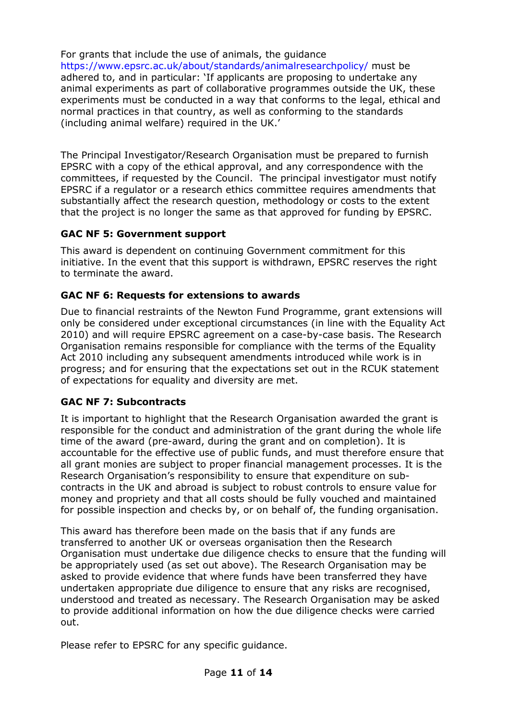For grants that include the use of animals, the guidance https://www.epsrc.ac.uk/about/standards/animalresearchpolicy/ must be adhered to, and in particular: 'If applicants are proposing to undertake any animal experiments as part of collaborative programmes outside the UK, these experiments must be conducted in a way that conforms to the legal, ethical and normal practices in that country, as well as conforming to the standards (including animal welfare) required in the UK.'

The Principal Investigator/Research Organisation must be prepared to furnish EPSRC with a copy of the ethical approval, and any correspondence with the committees, if requested by the Council. The principal investigator must notify EPSRC if a regulator or a research ethics committee requires amendments that substantially affect the research question, methodology or costs to the extent that the project is no longer the same as that approved for funding by EPSRC.

### **GAC NF 5: Government support**

This award is dependent on continuing Government commitment for this initiative. In the event that this support is withdrawn, EPSRC reserves the right to terminate the award.

### **GAC NF 6: Requests for extensions to awards**

Due to financial restraints of the Newton Fund Programme, grant extensions will only be considered under exceptional circumstances (in line with the Equality Act 2010) and will require EPSRC agreement on a case-by-case basis. The Research Organisation remains responsible for compliance with the terms of the Equality Act 2010 including any subsequent amendments introduced while work is in progress; and for ensuring that the expectations set out in the RCUK statement of expectations for equality and diversity are met.

### **GAC NF 7: Subcontracts**

It is important to highlight that the Research Organisation awarded the grant is responsible for the conduct and administration of the grant during the whole life time of the award (pre-award, during the grant and on completion). It is accountable for the effective use of public funds, and must therefore ensure that all grant monies are subject to proper financial management processes. It is the Research Organisation's responsibility to ensure that expenditure on subcontracts in the UK and abroad is subject to robust controls to ensure value for money and propriety and that all costs should be fully vouched and maintained for possible inspection and checks by, or on behalf of, the funding organisation.

This award has therefore been made on the basis that if any funds are transferred to another UK or overseas organisation then the Research Organisation must undertake due diligence checks to ensure that the funding will be appropriately used (as set out above). The Research Organisation may be asked to provide evidence that where funds have been transferred they have undertaken appropriate due diligence to ensure that any risks are recognised, understood and treated as necessary. The Research Organisation may be asked to provide additional information on how the due diligence checks were carried out.

Please refer to EPSRC for any specific guidance.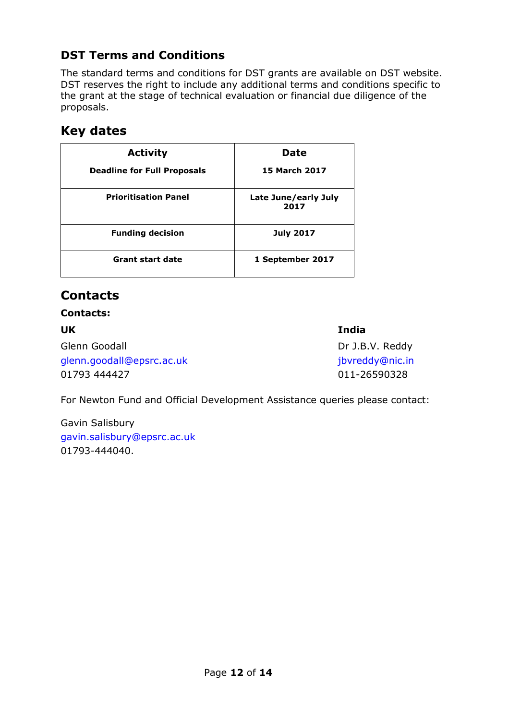## **DST Terms and Conditions**

The standard terms and conditions for DST grants are available on DST website. DST reserves the right to include any additional terms and conditions specific to the grant at the stage of technical evaluation or financial due diligence of the proposals.

## **Key dates**

| <b>Activity</b>                    | <b>Date</b>                  |  |
|------------------------------------|------------------------------|--|
| <b>Deadline for Full Proposals</b> | <b>15 March 2017</b>         |  |
| <b>Prioritisation Panel</b>        | Late June/early July<br>2017 |  |
| <b>Funding decision</b>            | <b>July 2017</b>             |  |
| <b>Grant start date</b>            | 1 September 2017             |  |

## **Contacts**

#### **Contacts:**

## **UK India**

Glenn Goodall **Dr J.B.V. Reddy** glenn.goodall@epsrc.ac.uk deep and the state of the state of the state of the state of the state of the state o 01793 444427 011-26590328

For Newton Fund and Official Development Assistance queries please contact:

Gavin Salisbury gavin.salisbury@epsrc.ac.uk 01793-444040.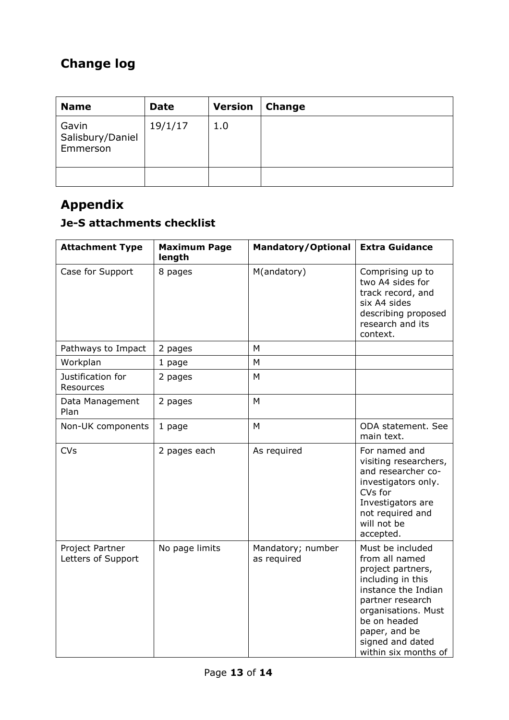# **Change log**

| <b>Name</b>                           | <b>Date</b> | <b>Version</b> | <b>Change</b> |
|---------------------------------------|-------------|----------------|---------------|
| Gavin<br>Salisbury/Daniel<br>Emmerson | 19/1/17     | 1.0            |               |
|                                       |             |                |               |

# **Appendix**

# **Je-S attachments checklist**

| <b>Attachment Type</b>                | <b>Maximum Page</b><br>length | <b>Mandatory/Optional</b>        | <b>Extra Guidance</b>                                                                                                                                                                                                       |
|---------------------------------------|-------------------------------|----------------------------------|-----------------------------------------------------------------------------------------------------------------------------------------------------------------------------------------------------------------------------|
| Case for Support                      | 8 pages                       | M(andatory)                      | Comprising up to<br>two A4 sides for<br>track record, and<br>six A4 sides<br>describing proposed<br>research and its<br>context.                                                                                            |
| Pathways to Impact                    | 2 pages                       | M                                |                                                                                                                                                                                                                             |
| Workplan                              | 1 page                        | M                                |                                                                                                                                                                                                                             |
| Justification for<br>Resources        | 2 pages                       | M                                |                                                                                                                                                                                                                             |
| Data Management<br>Plan               | 2 pages                       | M                                |                                                                                                                                                                                                                             |
| Non-UK components                     | 1 page                        | M                                | ODA statement. See<br>main text.                                                                                                                                                                                            |
| <b>CVs</b>                            | 2 pages each                  | As required                      | For named and<br>visiting researchers,<br>and researcher co-<br>investigators only.<br>CVs for<br>Investigators are<br>not required and<br>will not be<br>accepted.                                                         |
| Project Partner<br>Letters of Support | No page limits                | Mandatory; number<br>as required | Must be included<br>from all named<br>project partners,<br>including in this<br>instance the Indian<br>partner research<br>organisations. Must<br>be on headed<br>paper, and be<br>signed and dated<br>within six months of |